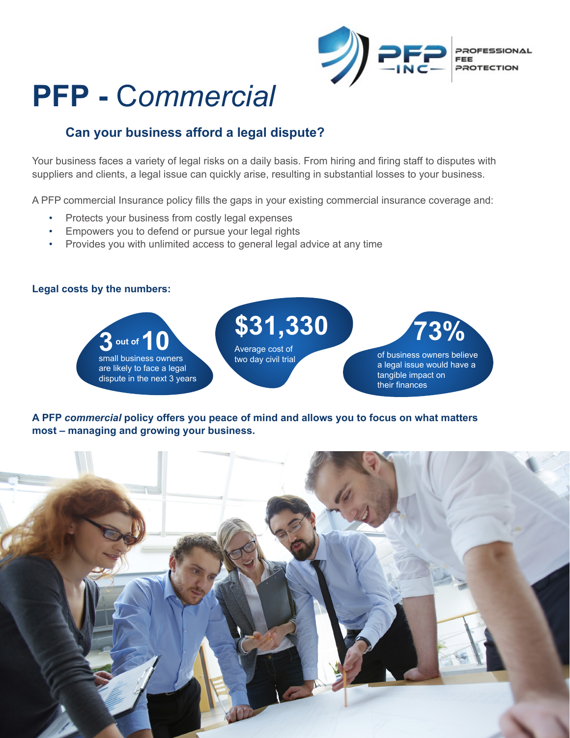

# **PFP -** C*ommercial*

### **Can your business afford a legal dispute?**

Your business faces a variety of legal risks on a daily basis. From hiring and firing staff to disputes with suppliers and clients, a legal issue can quickly arise, resulting in substantial losses to your business.

A PFP commercial Insurance policy fills the gaps in your existing commercial insurance coverage and:

- Protects your business from costly legal expenses
- Empowers you to defend or pursue your legal rights
- Provides you with unlimited access to general legal advice at any time

#### **Legal costs by the numbers:**



**A PFP** *commercial* **policy offers you peace of mind and allows you to focus on what matters most – managing and growing your business.**